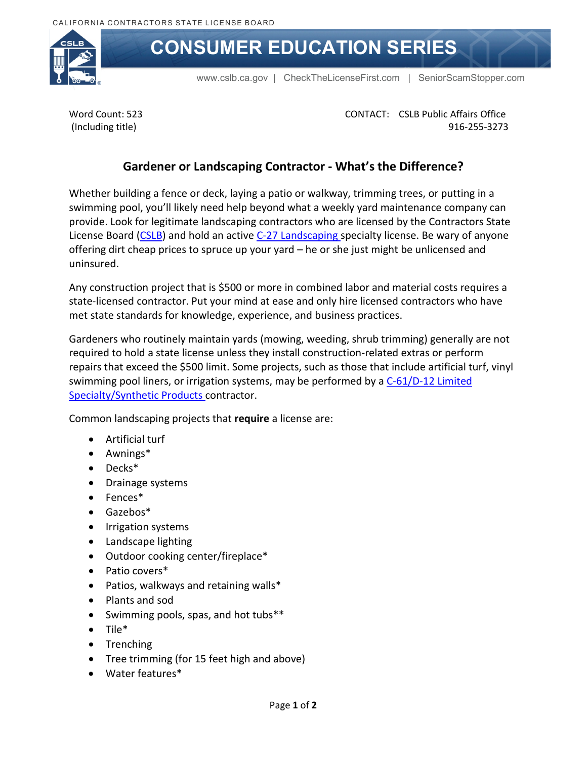

## **CONSUMER EDUCATION SERIES**

[www.cslb.ca.gov](http://www.cslb.ca.gov/) | [CheckTheLicenseFirst.com](www.CheckTheLicenseFirst.com) | [SeniorScamStopper.com](http://www.SeniorScamStopper.com)

Word Count: 523 (Including title)

CONTACT: CSLB Public Affairs Office 916-255-3273

## **Gardener or Landscaping Contractor - What's the Difference?**

Whether building a fence or deck, laying a patio or walkway, trimming trees, or putting in a swimming pool, you'll likely need help beyond what a weekly yard maintenance company can provide. Look for legitimate landscaping contractors who are licensed by the Contractors State License Board [\(CSLB\)](http://www.cslb.ca.gov/About_Us/Library/Licensing_Classifications/C-53_-_Swimming_Pool.aspx) and hold an active [C-27 Landscaping](http://www.cslb.ca.gov/About_Us/Library/Licensing_Classifications/C-27_-_Landscaping.aspx) specialty license. Be wary of anyone offering dirt cheap prices to spruce up your yard – he or she just might be unlicensed and uninsured.

Any construction project that is \$500 or more in combined labor and material costs requires a state-licensed contractor. Put your mind at ease and only hire licensed contractors who have met state standards for knowledge, experience, and business practices.

Gardeners who routinely maintain yards (mowing, weeding, shrub trimming) generally are not required to hold a state license unless they install construction-related extras or perform repairs that exceed the \$500 limit. Some projects, such as those that include artificial turf, vinyl swimming pool liners, or irrigation systems, may be performed by a C-61/D-12 Limited [Specialty/Synthetic Products](http://www.cslb.ca.gov/About_Us/Library/Licensing_Classifications/C-61_Limited_Speciality/D-12_-_Synthetic_Products.aspx) contractor.

Common landscaping projects that **require** a license are:

- Artificial turf
- Awnings[\\*](#page-1-0)
- Deck[s\\*](#page-1-0)
- Drainage systems
- Fences[\\*](#page-1-0)
- Gazebo[s\\*](#page-1-0)
- Irrigation systems
- Landscape lighting
- Outdoor cooking center/fireplace[\\*](#page-1-0)
- Patio covers[\\*](#page-1-0)
- Patios, walkways and retaining walls[\\*](#page-1-0)
- Plants and sod
- Swimming pools, spas, and hot tubs[\\*\\*](#page-1-0)
- Tile[\\*](#page-1-0)
- Trenching
- Tree trimming (for 15 feet high and above)
- Water feature[s\\*](#page-1-0)